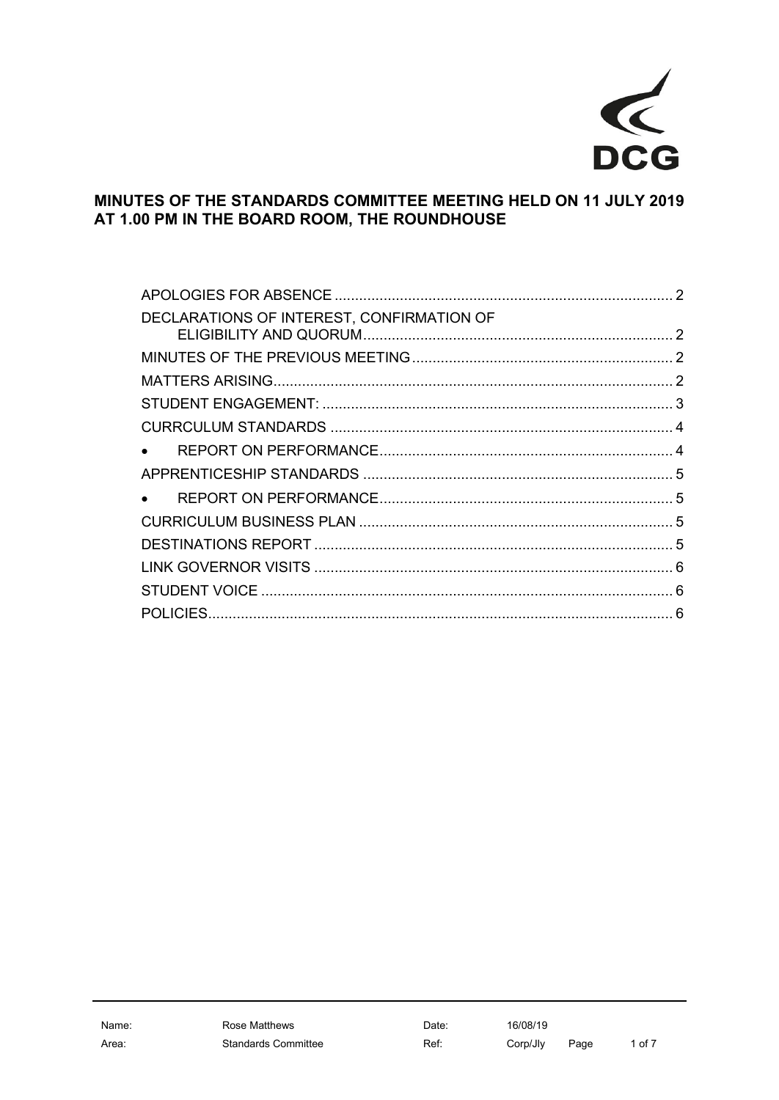

# MINUTES OF THE STANDARDS COMMITTEE MEETING HELD ON 11 JULY 2019 AT 1.00 PM IN THE BOARD ROOM, THE ROUNDHOUSE

| DECLARATIONS OF INTEREST, CONFIRMATION OF |  |
|-------------------------------------------|--|
|                                           |  |
|                                           |  |
|                                           |  |
|                                           |  |
|                                           |  |
|                                           |  |
|                                           |  |
|                                           |  |
|                                           |  |
|                                           |  |
|                                           |  |
|                                           |  |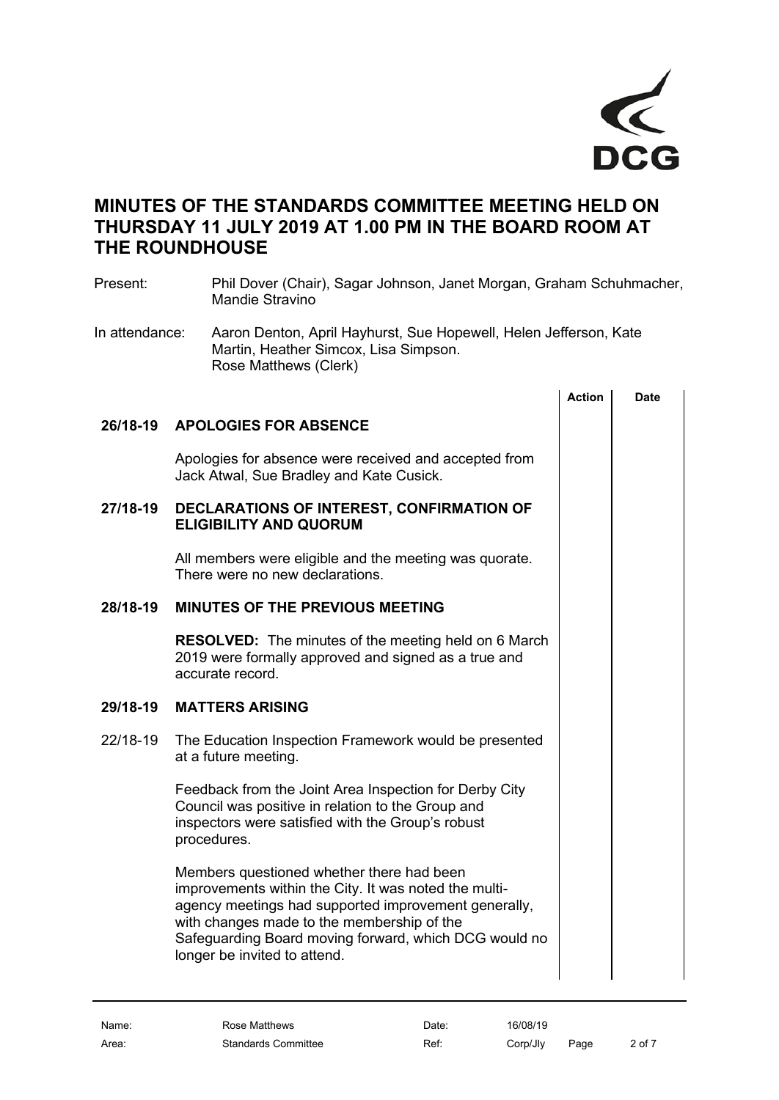

# **MINUTES OF THE STANDARDS COMMITTEE MEETING HELD ON THURSDAY 11 JULY 2019 AT 1.00 PM IN THE BOARD ROOM AT THE ROUNDHOUSE**

<span id="page-1-1"></span><span id="page-1-0"></span>

| Present:       | Phil Dover (Chair), Sagar Johnson, Janet Morgan, Graham Schuhmacher,<br><b>Mandie Stravino</b>                                                                                  |                                                                   |             |  |  |  |  |
|----------------|---------------------------------------------------------------------------------------------------------------------------------------------------------------------------------|-------------------------------------------------------------------|-------------|--|--|--|--|
| In attendance: | Martin, Heather Simcox, Lisa Simpson.<br>Rose Matthews (Clerk)                                                                                                                  | Aaron Denton, April Hayhurst, Sue Hopewell, Helen Jefferson, Kate |             |  |  |  |  |
|                |                                                                                                                                                                                 | <b>Action</b>                                                     | <b>Date</b> |  |  |  |  |
| 26/18-19       | <b>APOLOGIES FOR ABSENCE</b>                                                                                                                                                    |                                                                   |             |  |  |  |  |
|                | Apologies for absence were received and accepted from<br>Jack Atwal, Sue Bradley and Kate Cusick.                                                                               |                                                                   |             |  |  |  |  |
| 27/18-19       | DECLARATIONS OF INTEREST, CONFIRMATION OF<br><b>ELIGIBILITY AND QUORUM</b>                                                                                                      |                                                                   |             |  |  |  |  |
|                | All members were eligible and the meeting was quorate.<br>There were no new declarations.                                                                                       |                                                                   |             |  |  |  |  |
| 28/18-19       | <b>MINUTES OF THE PREVIOUS MEETING</b>                                                                                                                                          |                                                                   |             |  |  |  |  |
|                | <b>RESOLVED:</b> The minutes of the meeting held on 6 March<br>2019 were formally approved and signed as a true and<br>accurate record.                                         |                                                                   |             |  |  |  |  |
| 29/18-19       | <b>MATTERS ARISING</b>                                                                                                                                                          |                                                                   |             |  |  |  |  |
| 22/18-19       | The Education Inspection Framework would be presented<br>at a future meeting.                                                                                                   |                                                                   |             |  |  |  |  |
|                | Feedback from the Joint Area Inspection for Derby City<br>Council was positive in relation to the Group and<br>inspectors were satisfied with the Group's robust<br>procedures. |                                                                   |             |  |  |  |  |
|                | Members questioned whether there had been                                                                                                                                       |                                                                   |             |  |  |  |  |

<span id="page-1-3"></span><span id="page-1-2"></span>improvements within the City. It was noted the multiagency meetings had supported improvement generally, with changes made to the membership of the Safeguarding Board moving forward, which DCG would no longer be invited to attend.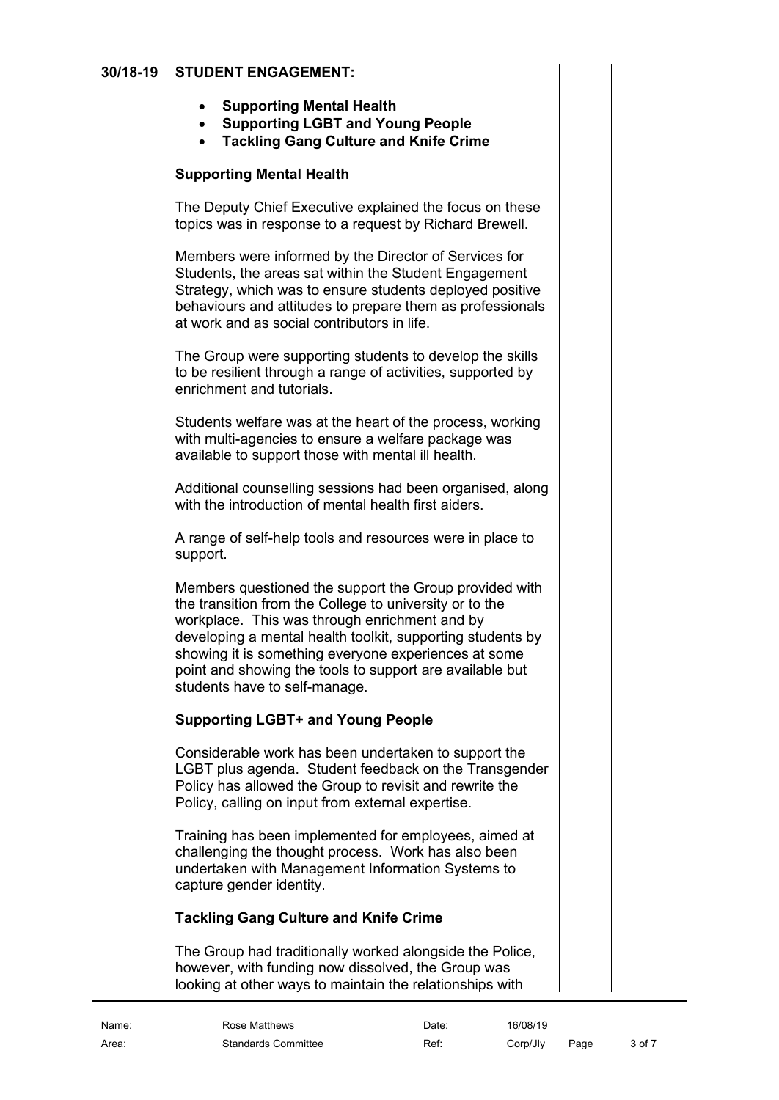## **30/18-19 STUDENT ENGAGEMENT:**

- <span id="page-2-0"></span>• **Supporting Mental Health**
- **Supporting LGBT and Young People**
- **Tackling Gang Culture and Knife Crime**

# **Supporting Mental Health**

The Deputy Chief Executive explained the focus on these topics was in response to a request by Richard Brewell.

Members were informed by the Director of Services for Students, the areas sat within the Student Engagement Strategy, which was to ensure students deployed positive behaviours and attitudes to prepare them as professionals at work and as social contributors in life.

The Group were supporting students to develop the skills to be resilient through a range of activities, supported by enrichment and tutorials.

Students welfare was at the heart of the process, working with multi-agencies to ensure a welfare package was available to support those with mental ill health.

Additional counselling sessions had been organised, along with the introduction of mental health first aiders.

A range of self-help tools and resources were in place to support.

Members questioned the support the Group provided with the transition from the College to university or to the workplace. This was through enrichment and by developing a mental health toolkit, supporting students by showing it is something everyone experiences at some point and showing the tools to support are available but students have to self-manage.

# **Supporting LGBT+ and Young People**

Considerable work has been undertaken to support the LGBT plus agenda. Student feedback on the Transgender Policy has allowed the Group to revisit and rewrite the Policy, calling on input from external expertise.

Training has been implemented for employees, aimed at challenging the thought process. Work has also been undertaken with Management Information Systems to capture gender identity.

# **Tackling Gang Culture and Knife Crime**

The Group had traditionally worked alongside the Police, however, with funding now dissolved, the Group was looking at other ways to maintain the relationships with

| Name: | Rose Matthews              | Date: | 16/08/19 |      |        |
|-------|----------------------------|-------|----------|------|--------|
| Area: | <b>Standards Committee</b> | Ref:  | Corp/Jly | Page | 3 of 7 |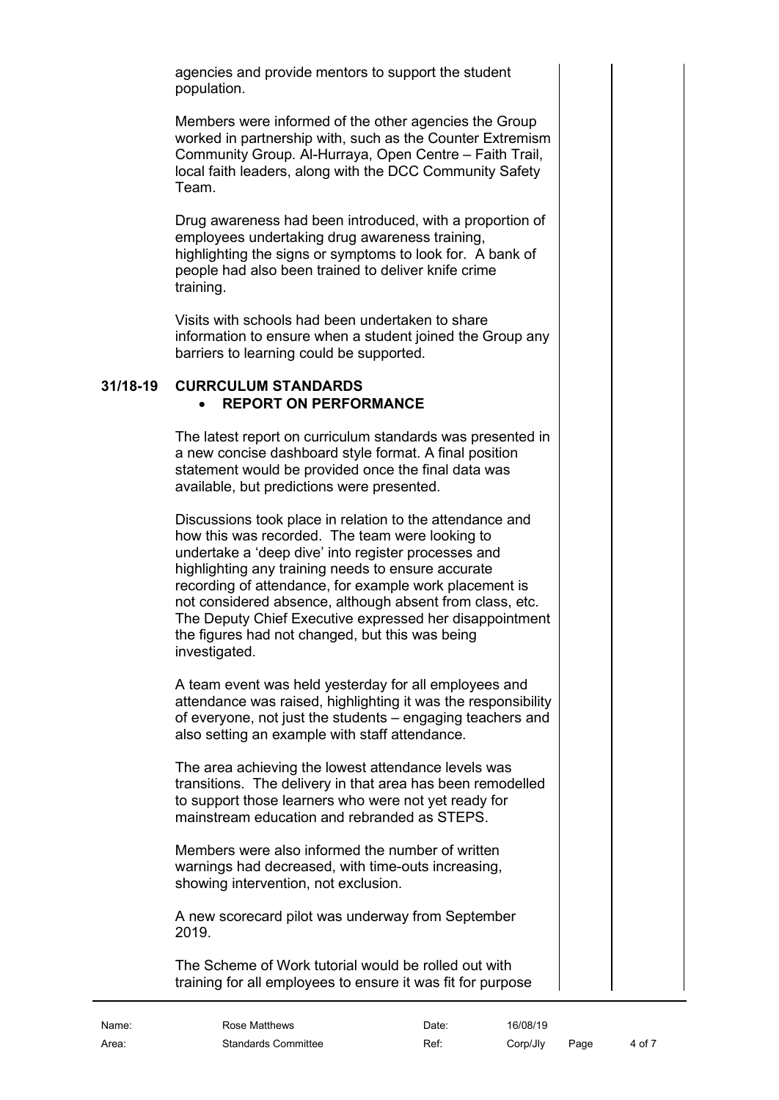agencies and provide mentors to support the student population.

Members were informed of the other agencies the Group worked in partnership with, such as the Counter Extremism Community Group. Al-Hurraya, Open Centre – Faith Trail, local faith leaders, along with the DCC Community Safety Team.

Drug awareness had been introduced, with a proportion of employees undertaking drug awareness training, highlighting the signs or symptoms to look for. A bank of people had also been trained to deliver knife crime training.

Visits with schools had been undertaken to share information to ensure when a student joined the Group any barriers to learning could be supported.

# **31/18-19 CURRCULUM STANDARDS** • **REPORT ON PERFORMANCE**

<span id="page-3-1"></span><span id="page-3-0"></span>The latest report on curriculum standards was presented in a new concise dashboard style format. A final position statement would be provided once the final data was available, but predictions were presented.

Discussions took place in relation to the attendance and how this was recorded. The team were looking to undertake a 'deep dive' into register processes and highlighting any training needs to ensure accurate recording of attendance, for example work placement is not considered absence, although absent from class, etc. The Deputy Chief Executive expressed her disappointment the figures had not changed, but this was being investigated.

A team event was held yesterday for all employees and attendance was raised, highlighting it was the responsibility of everyone, not just the students – engaging teachers and also setting an example with staff attendance.

The area achieving the lowest attendance levels was transitions. The delivery in that area has been remodelled to support those learners who were not yet ready for mainstream education and rebranded as STEPS.

Members were also informed the number of written warnings had decreased, with time-outs increasing, showing intervention, not exclusion.

A new scorecard pilot was underway from September 2019.

The Scheme of Work tutorial would be rolled out with training for all employees to ensure it was fit for purpose

Area: Standards Committee Ref: Corp/Jly Page 4 of 7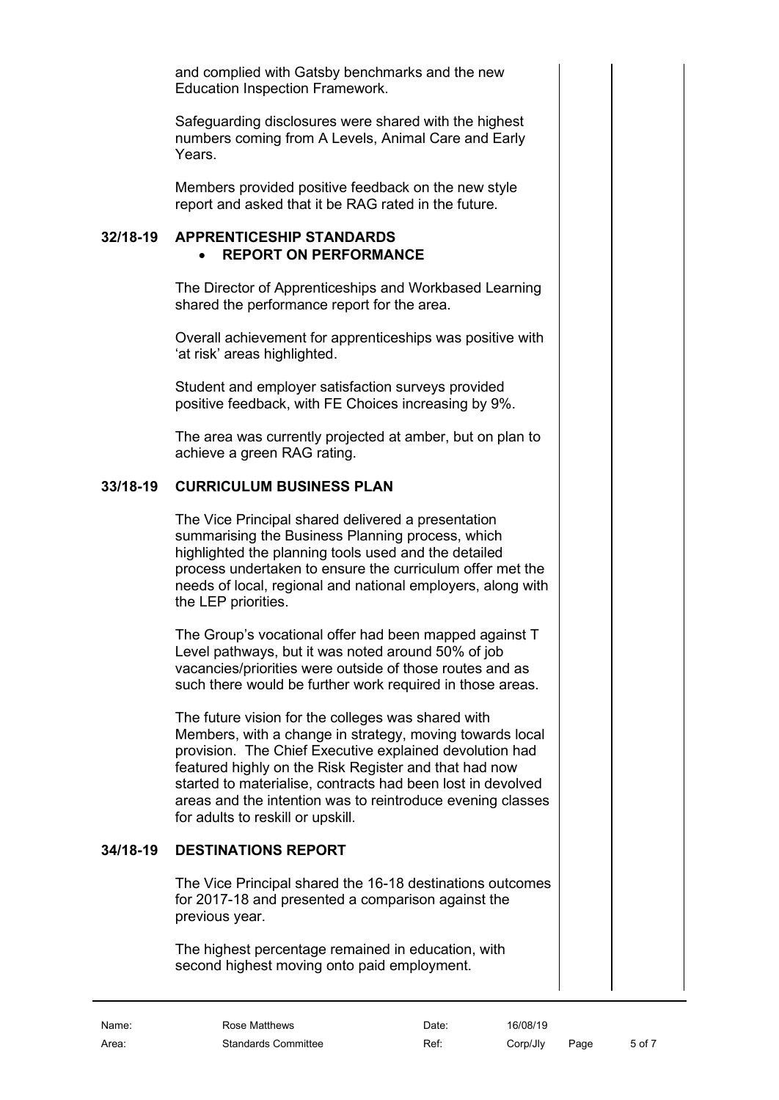and complied with Gatsby benchmarks and the new Education Inspection Framework.

Safeguarding disclosures were shared with the highest numbers coming from A Levels, Animal Care and Early Years.

<span id="page-4-0"></span>Members provided positive feedback on the new style report and asked that it be RAG rated in the future.

#### **32/18-19 APPRENTICESHIP STANDARDS** • **REPORT ON PERFORMANCE**

<span id="page-4-1"></span>The Director of Apprenticeships and Workbased Learning shared the performance report for the area.

Overall achievement for apprenticeships was positive with 'at risk' areas highlighted.

Student and employer satisfaction surveys provided positive feedback, with FE Choices increasing by 9%.

The area was currently projected at amber, but on plan to achieve a green RAG rating.

# **33/18-19 CURRICULUM BUSINESS PLAN**

<span id="page-4-2"></span>The Vice Principal shared delivered a presentation summarising the Business Planning process, which highlighted the planning tools used and the detailed process undertaken to ensure the curriculum offer met the needs of local, regional and national employers, along with the LEP priorities.

The Group's vocational offer had been mapped against T Level pathways, but it was noted around 50% of job vacancies/priorities were outside of those routes and as such there would be further work required in those areas.

The future vision for the colleges was shared with Members, with a change in strategy, moving towards local provision. The Chief Executive explained devolution had featured highly on the Risk Register and that had now started to materialise, contracts had been lost in devolved areas and the intention was to reintroduce evening classes for adults to reskill or upskill.

# **34/18-19 DESTINATIONS REPORT**

<span id="page-4-3"></span>The Vice Principal shared the 16-18 destinations outcomes for 2017-18 and presented a comparison against the previous year.

The highest percentage remained in education, with second highest moving onto paid employment.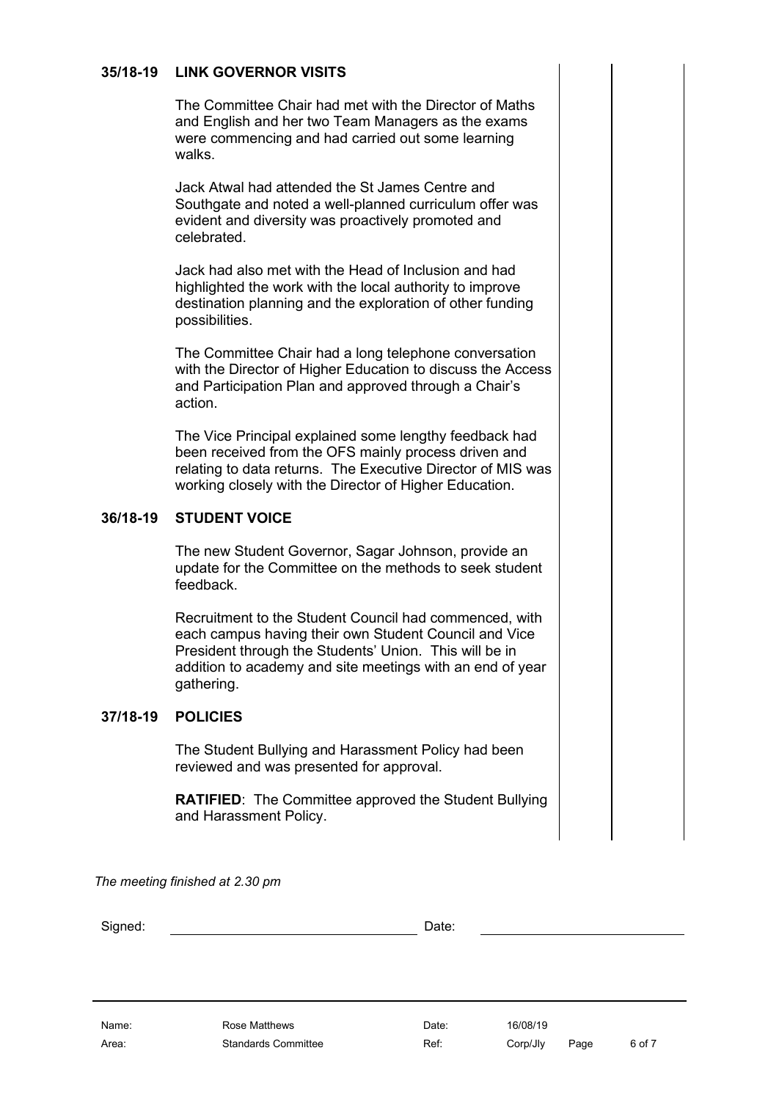# **35/18-19 LINK GOVERNOR VISITS**

<span id="page-5-0"></span>The Committee Chair had met with the Director of Maths and English and her two Team Managers as the exams were commencing and had carried out some learning walks.

Jack Atwal had attended the St James Centre and Southgate and noted a well-planned curriculum offer was evident and diversity was proactively promoted and celebrated.

Jack had also met with the Head of Inclusion and had highlighted the work with the local authority to improve destination planning and the exploration of other funding possibilities.

The Committee Chair had a long telephone conversation with the Director of Higher Education to discuss the Access and Participation Plan and approved through a Chair's action.

The Vice Principal explained some lengthy feedback had been received from the OFS mainly process driven and relating to data returns. The Executive Director of MIS was working closely with the Director of Higher Education.

#### **36/18-19 STUDENT VOICE**

<span id="page-5-1"></span>The new Student Governor, Sagar Johnson, provide an update for the Committee on the methods to seek student feedback.

Recruitment to the Student Council had commenced, with each campus having their own Student Council and Vice President through the Students' Union. This will be in addition to academy and site meetings with an end of year gathering.

#### **37/18-19 POLICIES**

<span id="page-5-2"></span>The Student Bullying and Harassment Policy had been reviewed and was presented for approval.

**RATIFIED**: The Committee approved the Student Bullying and Harassment Policy.

*The meeting finished at 2.30 pm*

Signed: Date:

Area: Standards Committee Ref: Corp/Jly Page 6 of 7